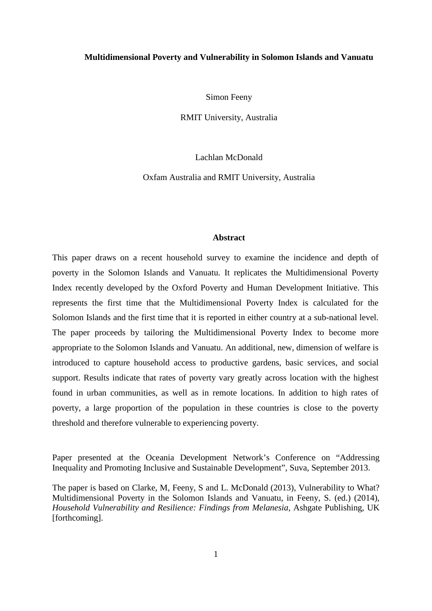#### **Multidimensional Poverty and Vulnerability in Solomon Islands and Vanuatu**

Simon Feeny

RMIT University, Australia

Lachlan McDonald

Oxfam Australia and RMIT University, Australia

#### **Abstract**

This paper draws on a recent household survey to examine the incidence and depth of poverty in the Solomon Islands and Vanuatu. It replicates the Multidimensional Poverty Index recently developed by the Oxford Poverty and Human Development Initiative. This represents the first time that the Multidimensional Poverty Index is calculated for the Solomon Islands and the first time that it is reported in either country at a sub-national level. The paper proceeds by tailoring the Multidimensional Poverty Index to become more appropriate to the Solomon Islands and Vanuatu. An additional, new, dimension of welfare is introduced to capture household access to productive gardens, basic services, and social support. Results indicate that rates of poverty vary greatly across location with the highest found in urban communities, as well as in remote locations. In addition to high rates of poverty, a large proportion of the population in these countries is close to the poverty threshold and therefore vulnerable to experiencing poverty.

Paper presented at the Oceania Development Network's Conference on "Addressing Inequality and Promoting Inclusive and Sustainable Development", Suva, September 2013.

The paper is based on Clarke, M, Feeny, S and L. McDonald (2013), Vulnerability to What? Multidimensional Poverty in the Solomon Islands and Vanuatu, in Feeny, S. (ed.) (2014), *Household Vulnerability and Resilience: Findings from Melanesia*, Ashgate Publishing, UK [forthcoming].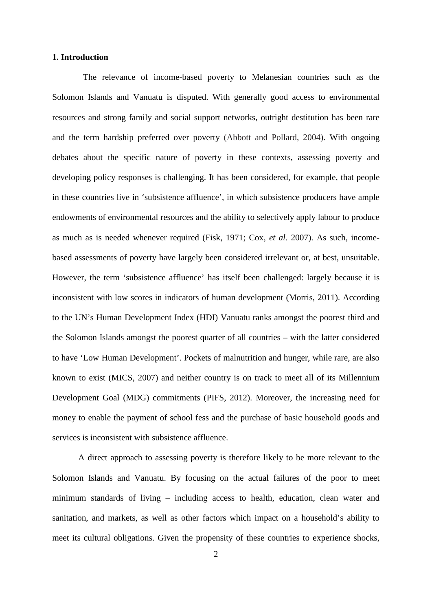## **1. Introduction**

The relevance of income-based poverty to Melanesian countries such as the Solomon Islands and Vanuatu is disputed. With generally good access to environmental resources and strong family and social support networks, outright destitution has been rare and the term hardship preferred over poverty (Abbott and Pollard, 2004). With ongoing debates about the specific nature of poverty in these contexts, assessing poverty and developing policy responses is challenging. It has been considered, for example, that people in these countries live in 'subsistence affluence', in which subsistence producers have ample endowments of environmental resources and the ability to selectively apply labour to produce as much as is needed whenever required (Fisk, 1971; Cox, *et al.* 2007). As such, incomebased assessments of poverty have largely been considered irrelevant or, at best, unsuitable. However, the term 'subsistence affluence' has itself been challenged: largely because it is inconsistent with low scores in indicators of human development (Morris, 2011). According to the UN's Human Development Index (HDI) Vanuatu ranks amongst the poorest third and the Solomon Islands amongst the poorest quarter of all countries – with the latter considered to have 'Low Human Development'. Pockets of malnutrition and hunger, while rare, are also known to exist (MICS, 2007) and neither country is on track to meet all of its Millennium Development Goal (MDG) commitments (PIFS, 2012). Moreover, the increasing need for money to enable the payment of school fess and the purchase of basic household goods and services is inconsistent with subsistence affluence.

A direct approach to assessing poverty is therefore likely to be more relevant to the Solomon Islands and Vanuatu. By focusing on the actual failures of the poor to meet minimum standards of living – including access to health, education, clean water and sanitation, and markets, as well as other factors which impact on a household's ability to meet its cultural obligations. Given the propensity of these countries to experience shocks,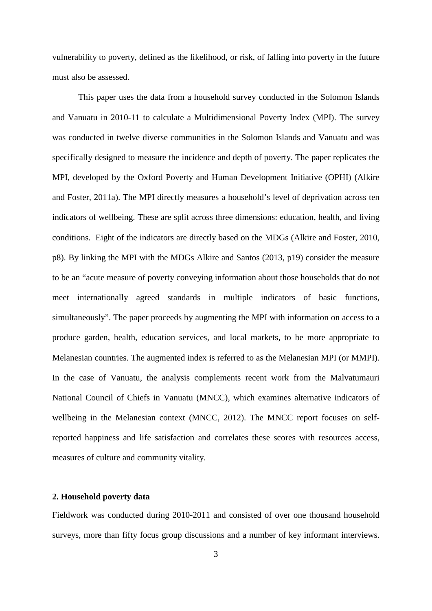vulnerability to poverty, defined as the likelihood, or risk, of falling into poverty in the future must also be assessed.

This paper uses the data from a household survey conducted in the Solomon Islands and Vanuatu in 2010-11 to calculate a Multidimensional Poverty Index (MPI). The survey was conducted in twelve diverse communities in the Solomon Islands and Vanuatu and was specifically designed to measure the incidence and depth of poverty. The paper replicates the MPI, developed by the Oxford Poverty and Human Development Initiative (OPHI) (Alkire and Foster, 2011a). The MPI directly measures a household's level of deprivation across ten indicators of wellbeing. These are split across three dimensions: education, health, and living conditions. Eight of the indicators are directly based on the MDGs (Alkire and Foster, 2010, p8). By linking the MPI with the MDGs Alkire and Santos (2013, p19) consider the measure to be an "acute measure of poverty conveying information about those households that do not meet internationally agreed standards in multiple indicators of basic functions, simultaneously". The paper proceeds by augmenting the MPI with information on access to a produce garden, health, education services, and local markets, to be more appropriate to Melanesian countries. The augmented index is referred to as the Melanesian MPI (or MMPI). In the case of Vanuatu, the analysis complements recent work from the Malvatumauri National Council of Chiefs in Vanuatu (MNCC), which examines alternative indicators of wellbeing in the Melanesian context (MNCC, 2012). The MNCC report focuses on selfreported happiness and life satisfaction and correlates these scores with resources access, measures of culture and community vitality.

## **2. Household poverty data**

Fieldwork was conducted during 2010-2011 and consisted of over one thousand household surveys, more than fifty focus group discussions and a number of key informant interviews.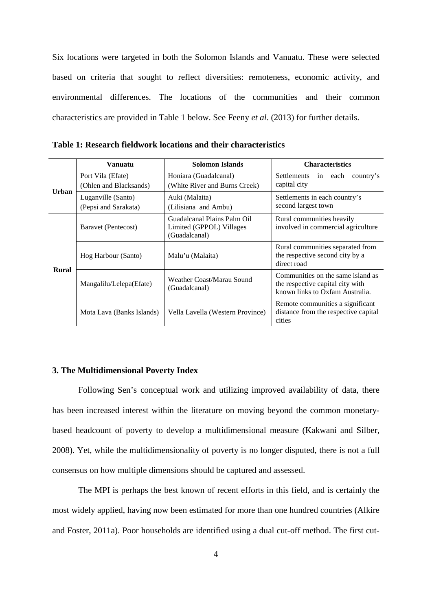Six locations were targeted in both the Solomon Islands and Vanuatu. These were selected based on criteria that sought to reflect diversities: remoteness, economic activity, and environmental differences. The locations of the communities and their common characteristics are provided in Table 1 below. See Feeny *et al*. (2013) for further details.

|              | Vanuatu                                     | <b>Solomon Islands</b>                                                   | <b>Characteristics</b>                                                                                   |  |  |  |  |
|--------------|---------------------------------------------|--------------------------------------------------------------------------|----------------------------------------------------------------------------------------------------------|--|--|--|--|
| Urban        | Port Vila (Efate)<br>(Ohlen and Blacksands) | Honiara (Guadalcanal)<br>(White River and Burns Creek)                   | Settlements in each<br>country's<br>capital city                                                         |  |  |  |  |
|              | Luganville (Santo)<br>(Pepsi and Sarakata)  | Auki (Malaita)<br>(Lilisiana and Ambu)                                   | Settlements in each country's<br>second largest town                                                     |  |  |  |  |
| <b>Rural</b> | Baravet (Pentecost)                         | Guadalcanal Plains Palm Oil<br>Limited (GPPOL) Villages<br>(Guadalcanal) | Rural communities heavily<br>involved in commercial agriculture                                          |  |  |  |  |
|              | Hog Harbour (Santo)                         | Malu'u (Malaita)                                                         | Rural communities separated from<br>the respective second city by a<br>direct road                       |  |  |  |  |
|              | Mangalilu/Lelepa(Efate)                     | Weather Coast/Marau Sound<br>(Guadalcanal)                               | Communities on the same island as<br>the respective capital city with<br>known links to Oxfam Australia. |  |  |  |  |
|              | Mota Lava (Banks Islands)                   | Vella Lavella (Western Province)                                         | Remote communities a significant<br>distance from the respective capital<br>cities                       |  |  |  |  |

**Table 1: Research fieldwork locations and their characteristics**

## **3. The Multidimensional Poverty Index**

Following Sen's conceptual work and utilizing improved availability of data, there has been increased interest within the literature on moving beyond the common monetarybased headcount of poverty to develop a multidimensional measure (Kakwani and Silber, 2008). Yet, while the multidimensionality of poverty is no longer disputed, there is not a full consensus on how multiple dimensions should be captured and assessed.

The MPI is perhaps the best known of recent efforts in this field, and is certainly the most widely applied, having now been estimated for more than one hundred countries (Alkire and Foster, 2011a). Poor households are identified using a dual cut-off method. The first cut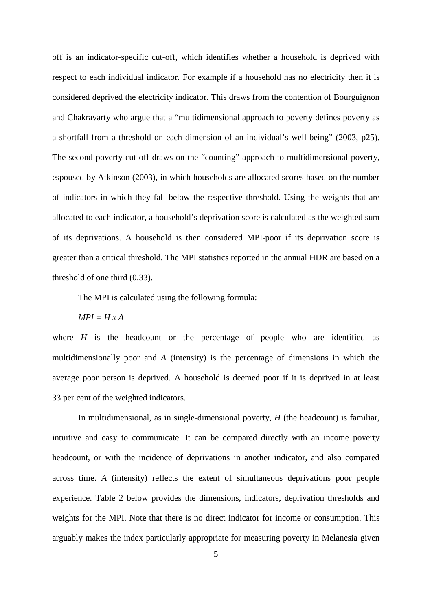off is an indicator-specific cut-off, which identifies whether a household is deprived with respect to each individual indicator. For example if a household has no electricity then it is considered deprived the electricity indicator. This draws from the contention of Bourguignon and Chakravarty who argue that a "multidimensional approach to poverty defines poverty as a shortfall from a threshold on each dimension of an individual's well-being" (2003, p25). The second poverty cut-off draws on the "counting" approach to multidimensional poverty, espoused by Atkinson (2003), in which households are allocated scores based on the number of indicators in which they fall below the respective threshold. Using the weights that are allocated to each indicator, a household's deprivation score is calculated as the weighted sum of its deprivations. A household is then considered MPI-poor if its deprivation score is greater than a critical threshold. The MPI statistics reported in the annual HDR are based on a threshold of one third (0.33).

The MPI is calculated using the following formula:

 $MPI = H x A$ 

where  $H$  is the headcount or the percentage of people who are identified as multidimensionally poor and *A* (intensity) is the percentage of dimensions in which the average poor person is deprived. A household is deemed poor if it is deprived in at least 33 per cent of the weighted indicators.

In multidimensional, as in single-dimensional poverty, *H* (the headcount) is familiar, intuitive and easy to communicate. It can be compared directly with an income poverty headcount, or with the incidence of deprivations in another indicator, and also compared across time. *A* (intensity) reflects the extent of simultaneous deprivations poor people experience. Table 2 below provides the dimensions, indicators, deprivation thresholds and weights for the MPI. Note that there is no direct indicator for income or consumption. This arguably makes the index particularly appropriate for measuring poverty in Melanesia given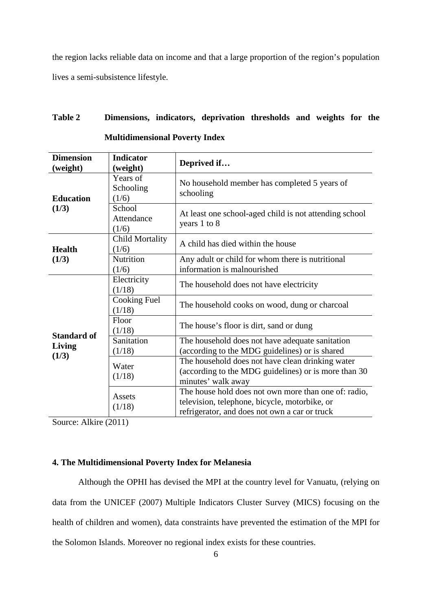the region lacks reliable data on income and that a large proportion of the region's population lives a semi-subsistence lifestyle.

# **Table 2 Dimensions, indicators, deprivation thresholds and weights for the Multidimensional Poverty Index**

| <b>Dimension</b><br>(weight) | <b>Indicator</b><br>(weight)    | Deprived if                                                                                                                                            |  |  |  |  |  |
|------------------------------|---------------------------------|--------------------------------------------------------------------------------------------------------------------------------------------------------|--|--|--|--|--|
| <b>Education</b>             | Years of<br>Schooling<br>(1/6)  | No household member has completed 5 years of<br>schooling                                                                                              |  |  |  |  |  |
| (1/3)                        | School<br>Attendance<br>(1/6)   | At least one school-aged child is not attending school<br>years 1 to 8                                                                                 |  |  |  |  |  |
| <b>Health</b>                | <b>Child Mortality</b><br>(1/6) | A child has died within the house                                                                                                                      |  |  |  |  |  |
| (1/3)                        | Nutrition<br>(1/6)              | Any adult or child for whom there is nutritional<br>information is malnourished                                                                        |  |  |  |  |  |
|                              | Electricity<br>(1/18)           | The household does not have electricity                                                                                                                |  |  |  |  |  |
|                              | Cooking Fuel<br>(1/18)          | The household cooks on wood, dung or charcoal                                                                                                          |  |  |  |  |  |
| <b>Standard of</b>           | Floor<br>(1/18)                 | The house's floor is dirt, sand or dung                                                                                                                |  |  |  |  |  |
| Living                       | Sanitation<br>(1/18)            | The household does not have adequate sanitation<br>(according to the MDG guidelines) or is shared                                                      |  |  |  |  |  |
| (1/3)                        | Water<br>(1/18)                 | The household does not have clean drinking water<br>(according to the MDG guidelines) or is more than 30<br>minutes' walk away                         |  |  |  |  |  |
|                              | Assets<br>(1/18)                | The house hold does not own more than one of: radio,<br>television, telephone, bicycle, motorbike, or<br>refrigerator, and does not own a car or truck |  |  |  |  |  |

Source: Alkire (2011)

# **4. The Multidimensional Poverty Index for Melanesia**

Although the OPHI has devised the MPI at the country level for Vanuatu, (relying on data from the UNICEF (2007) Multiple Indicators Cluster Survey (MICS) focusing on the health of children and women), data constraints have prevented the estimation of the MPI for the Solomon Islands. Moreover no regional index exists for these countries.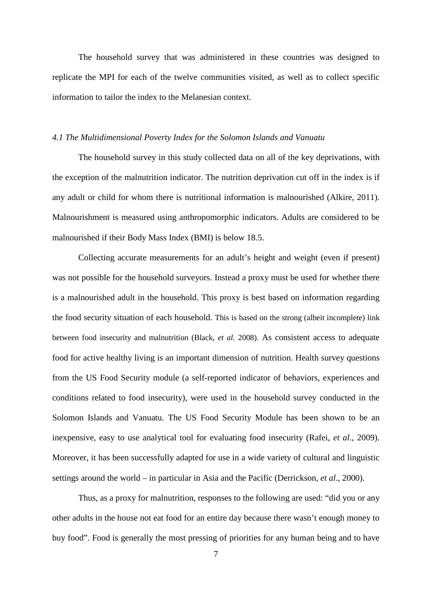The household survey that was administered in these countries was designed to replicate the MPI for each of the twelve communities visited, as well as to collect specific information to tailor the index to the Melanesian context.

#### *4.1 The Multidimensional Poverty Index for the Solomon Islands and Vanuatu*

The household survey in this study collected data on all of the key deprivations, with the exception of the malnutrition indicator. The nutrition deprivation cut off in the index is if any adult or child for whom there is nutritional information is malnourished (Alkire, 2011). Malnourishment is measured using anthropomorphic indicators. Adults are considered to be malnourished if their Body Mass Index (BMI) is below 18.5.

Collecting accurate measurements for an adult's height and weight (even if present) was not possible for the household surveyors. Instead a proxy must be used for whether there is a malnourished adult in the household. This proxy is best based on information regarding the food security situation of each household. This is based on the strong (albeit incomplete) link between food insecurity and malnutrition (Black, *et al.* 2008). As consistent access to adequate food for active healthy living is an important dimension of nutrition. Health survey questions from the US Food Security module (a self-reported indicator of behaviors, experiences and conditions related to food insecurity), were used in the household survey conducted in the Solomon Islands and Vanuatu. The US Food Security Module has been shown to be an inexpensive, easy to use analytical tool for evaluating food insecurity (Rafei, *et al*., 2009). Moreover, it has been successfully adapted for use in a wide variety of cultural and linguistic settings around the world – in particular in Asia and the Pacific (Derrickson, *et al*., 2000).

Thus, as a proxy for malnutrition, responses to the following are used: "did you or any other adults in the house not eat food for an entire day because there wasn't enough money to buy food". Food is generally the most pressing of priorities for any human being and to have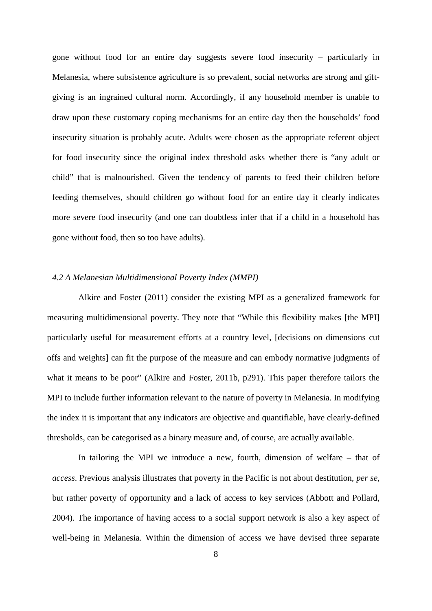gone without food for an entire day suggests severe food insecurity – particularly in Melanesia, where subsistence agriculture is so prevalent, social networks are strong and giftgiving is an ingrained cultural norm. Accordingly, if any household member is unable to draw upon these customary coping mechanisms for an entire day then the households' food insecurity situation is probably acute. Adults were chosen as the appropriate referent object for food insecurity since the original index threshold asks whether there is "any adult or child" that is malnourished. Given the tendency of parents to feed their children before feeding themselves, should children go without food for an entire day it clearly indicates more severe food insecurity (and one can doubtless infer that if a child in a household has gone without food, then so too have adults).

#### *4.2 A Melanesian Multidimensional Poverty Index (MMPI)*

Alkire and Foster (2011) consider the existing MPI as a generalized framework for measuring multidimensional poverty. They note that "While this flexibility makes [the MPI] particularly useful for measurement efforts at a country level, [decisions on dimensions cut offs and weights] can fit the purpose of the measure and can embody normative judgments of what it means to be poor" (Alkire and Foster, 2011b, p291). This paper therefore tailors the MPI to include further information relevant to the nature of poverty in Melanesia. In modifying the index it is important that any indicators are objective and quantifiable, have clearly-defined thresholds, can be categorised as a binary measure and, of course, are actually available.

In tailoring the MPI we introduce a new, fourth, dimension of welfare – that of *access*. Previous analysis illustrates that poverty in the Pacific is not about destitution, *per se*, but rather poverty of opportunity and a lack of access to key services (Abbott and Pollard, 2004). The importance of having access to a social support network is also a key aspect of well-being in Melanesia. Within the dimension of access we have devised three separate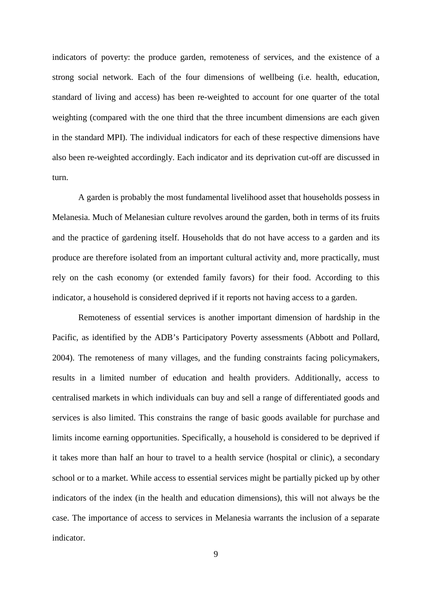indicators of poverty: the produce garden, remoteness of services, and the existence of a strong social network. Each of the four dimensions of wellbeing (i.e. health, education, standard of living and access) has been re-weighted to account for one quarter of the total weighting (compared with the one third that the three incumbent dimensions are each given in the standard MPI). The individual indicators for each of these respective dimensions have also been re-weighted accordingly. Each indicator and its deprivation cut-off are discussed in turn.

A garden is probably the most fundamental livelihood asset that households possess in Melanesia. Much of Melanesian culture revolves around the garden, both in terms of its fruits and the practice of gardening itself. Households that do not have access to a garden and its produce are therefore isolated from an important cultural activity and, more practically, must rely on the cash economy (or extended family favors) for their food. According to this indicator, a household is considered deprived if it reports not having access to a garden.

Remoteness of essential services is another important dimension of hardship in the Pacific, as identified by the ADB's Participatory Poverty assessments (Abbott and Pollard, 2004). The remoteness of many villages, and the funding constraints facing policymakers, results in a limited number of education and health providers. Additionally, access to centralised markets in which individuals can buy and sell a range of differentiated goods and services is also limited. This constrains the range of basic goods available for purchase and limits income earning opportunities. Specifically, a household is considered to be deprived if it takes more than half an hour to travel to a health service (hospital or clinic), a secondary school or to a market. While access to essential services might be partially picked up by other indicators of the index (in the health and education dimensions), this will not always be the case. The importance of access to services in Melanesia warrants the inclusion of a separate indicator.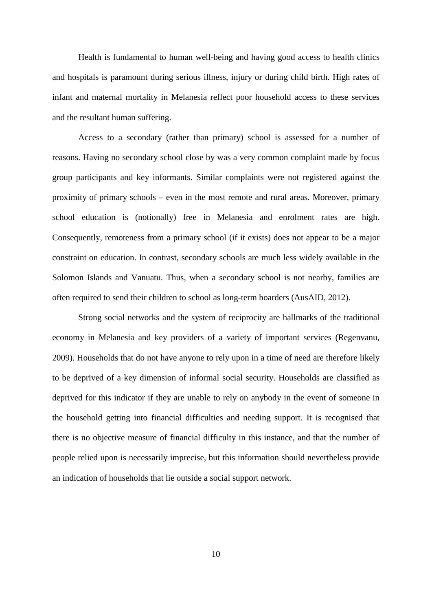Health is fundamental to human well-being and having good access to health clinics and hospitals is paramount during serious illness, injury or during child birth. High rates of infant and maternal mortality in Melanesia reflect poor household access to these services and the resultant human suffering.

Access to a secondary (rather than primary) school is assessed for a number of reasons. Having no secondary school close by was a very common complaint made by focus group participants and key informants. Similar complaints were not registered against the proximity of primary schools – even in the most remote and rural areas. Moreover, primary school education is (notionally) free in Melanesia and enrolment rates are high. Consequently, remoteness from a primary school (if it exists) does not appear to be a major constraint on education. In contrast, secondary schools are much less widely available in the Solomon Islands and Vanuatu. Thus, when a secondary school is not nearby, families are often required to send their children to school as long-term boarders (AusAID, 2012).

Strong social networks and the system of reciprocity are hallmarks of the traditional economy in Melanesia and key providers of a variety of important services (Regenvanu, 2009). Households that do not have anyone to rely upon in a time of need are therefore likely to be deprived of a key dimension of informal social security. Households are classified as deprived for this indicator if they are unable to rely on anybody in the event of someone in the household getting into financial difficulties and needing support. It is recognised that there is no objective measure of financial difficulty in this instance, and that the number of people relied upon is necessarily imprecise, but this information should nevertheless provide an indication of households that lie outside a social support network.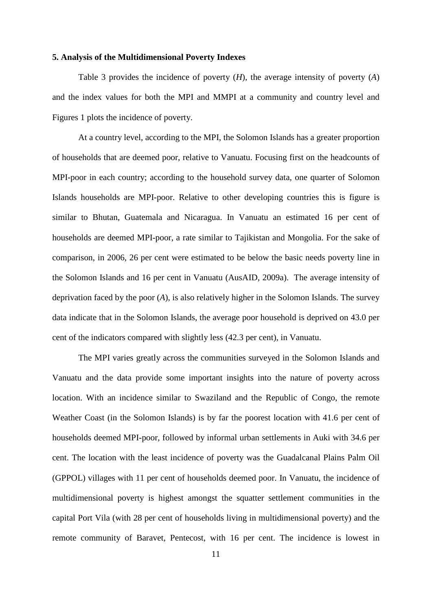#### **5. Analysis of the Multidimensional Poverty Indexes**

Table 3 provides the incidence of poverty (*H*), the average intensity of poverty (*A*) and the index values for both the MPI and MMPI at a community and country level and Figures 1 plots the incidence of poverty.

At a country level, according to the MPI, the Solomon Islands has a greater proportion of households that are deemed poor, relative to Vanuatu. Focusing first on the headcounts of MPI-poor in each country; according to the household survey data, one quarter of Solomon Islands households are MPI-poor. Relative to other developing countries this is figure is similar to Bhutan, Guatemala and Nicaragua. In Vanuatu an estimated 16 per cent of households are deemed MPI-poor, a rate similar to Tajikistan and Mongolia. For the sake of comparison, in 2006, 26 per cent were estimated to be below the basic needs poverty line in the Solomon Islands and 16 per cent in Vanuatu (AusAID, 2009a). The average intensity of deprivation faced by the poor (*A*), is also relatively higher in the Solomon Islands. The survey data indicate that in the Solomon Islands, the average poor household is deprived on 43.0 per cent of the indicators compared with slightly less (42.3 per cent), in Vanuatu.

The MPI varies greatly across the communities surveyed in the Solomon Islands and Vanuatu and the data provide some important insights into the nature of poverty across location. With an incidence similar to Swaziland and the Republic of Congo, the remote Weather Coast (in the Solomon Islands) is by far the poorest location with 41.6 per cent of households deemed MPI-poor, followed by informal urban settlements in Auki with 34.6 per cent. The location with the least incidence of poverty was the Guadalcanal Plains Palm Oil (GPPOL) villages with 11 per cent of households deemed poor. In Vanuatu, the incidence of multidimensional poverty is highest amongst the squatter settlement communities in the capital Port Vila (with 28 per cent of households living in multidimensional poverty) and the remote community of Baravet, Pentecost, with 16 per cent. The incidence is lowest in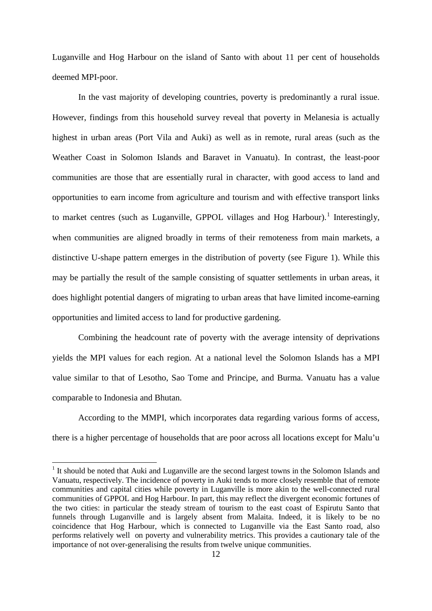Luganville and Hog Harbour on the island of Santo with about 11 per cent of households deemed MPI-poor.

In the vast majority of developing countries, poverty is predominantly a rural issue. However, findings from this household survey reveal that poverty in Melanesia is actually highest in urban areas (Port Vila and Auki) as well as in remote, rural areas (such as the Weather Coast in Solomon Islands and Baravet in Vanuatu). In contrast, the least-poor communities are those that are essentially rural in character, with good access to land and opportunities to earn income from agriculture and tourism and with effective transport links to market centres (such as Luganville, GPPOL villages and Hog Harbour).<sup>[1](#page-11-0)</sup> Interestingly, when communities are aligned broadly in terms of their remoteness from main markets, a distinctive U-shape pattern emerges in the distribution of poverty (see Figure 1). While this may be partially the result of the sample consisting of squatter settlements in urban areas, it does highlight potential dangers of migrating to urban areas that have limited income-earning opportunities and limited access to land for productive gardening.

Combining the headcount rate of poverty with the average intensity of deprivations yields the MPI values for each region. At a national level the Solomon Islands has a MPI value similar to that of Lesotho, Sao Tome and Principe, and Burma. Vanuatu has a value comparable to Indonesia and Bhutan.

According to the MMPI, which incorporates data regarding various forms of access, there is a higher percentage of households that are poor across all locations except for Malu'u

 $\overline{a}$ 

<span id="page-11-0"></span><sup>&</sup>lt;sup>1</sup> It should be noted that Auki and Luganville are the second largest towns in the Solomon Islands and Vanuatu, respectively. The incidence of poverty in Auki tends to more closely resemble that of remote communities and capital cities while poverty in Luganville is more akin to the well-connected rural communities of GPPOL and Hog Harbour. In part, this may reflect the divergent economic fortunes of the two cities: in particular the steady stream of tourism to the east coast of Espirutu Santo that funnels through Luganville and is largely absent from Malaita. Indeed, it is likely to be no coincidence that Hog Harbour, which is connected to Luganville via the East Santo road, also performs relatively well on poverty and vulnerability metrics. This provides a cautionary tale of the importance of not over-generalising the results from twelve unique communities.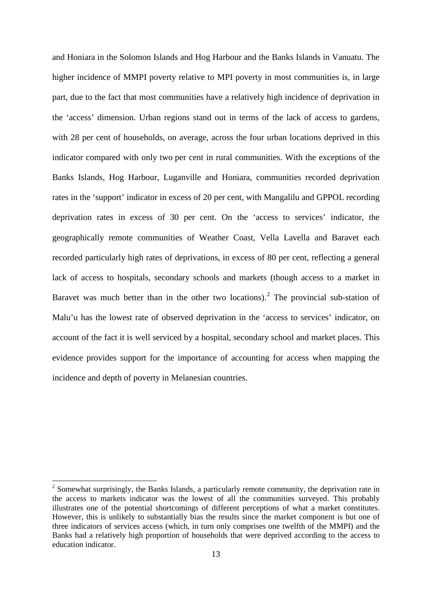and Honiara in the Solomon Islands and Hog Harbour and the Banks Islands in Vanuatu. The higher incidence of MMPI poverty relative to MPI poverty in most communities is, in large part, due to the fact that most communities have a relatively high incidence of deprivation in the 'access' dimension. Urban regions stand out in terms of the lack of access to gardens, with 28 per cent of households, on average, across the four urban locations deprived in this indicator compared with only two per cent in rural communities. With the exceptions of the Banks Islands, Hog Harbour, Luganville and Honiara, communities recorded deprivation rates in the 'support' indicator in excess of 20 per cent, with Mangalilu and GPPOL recording deprivation rates in excess of 30 per cent. On the 'access to services' indicator, the geographically remote communities of Weather Coast, Vella Lavella and Baravet each recorded particularly high rates of deprivations, in excess of 80 per cent, reflecting a general lack of access to hospitals, secondary schools and markets (though access to a market in Baravet was much better than in the other two locations).<sup>[2](#page-12-0)</sup> The provincial sub-station of Malu'u has the lowest rate of observed deprivation in the 'access to services' indicator, on account of the fact it is well serviced by a hospital, secondary school and market places. This evidence provides support for the importance of accounting for access when mapping the incidence and depth of poverty in Melanesian countries.

**.** 

<span id="page-12-0"></span> $2\text{ Somewhat surprisingly, the Banks Islands, a particularly remote community, the deprivation rate in }$ the access to markets indicator was the lowest of all the communities surveyed. This probably illustrates one of the potential shortcomings of different perceptions of what a market constitutes. However, this is unlikely to substantially bias the results since the market component is but one of three indicators of services access (which, in turn only comprises one twelfth of the MMPI) and the Banks had a relatively high proportion of households that were deprived according to the access to education indicator.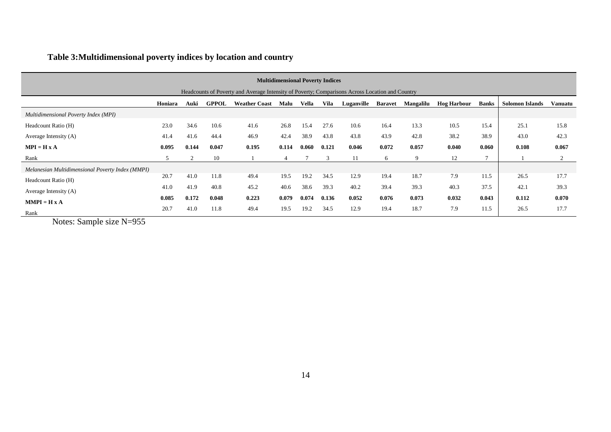# **Table 3:Multidimensional poverty indices by location and country**

| <b>Multidimensional Poverty Indices</b>                                                         |         |       |              |                      |       |       |               |            |                |           |                    |       |                 |                |
|-------------------------------------------------------------------------------------------------|---------|-------|--------------|----------------------|-------|-------|---------------|------------|----------------|-----------|--------------------|-------|-----------------|----------------|
| Headcounts of Poverty and Average Intensity of Poverty; Comparisons Across Location and Country |         |       |              |                      |       |       |               |            |                |           |                    |       |                 |                |
|                                                                                                 | Honiara | Auki  | <b>GPPOL</b> | <b>Weather Coast</b> | Malu  | Vella | Vila          | Luganville | <b>Baravet</b> | Mangalilu | <b>Hog Harbour</b> | Banks | Solomon Islands | <b>Vanuatu</b> |
| Multidimensional Poverty Index (MPI)                                                            |         |       |              |                      |       |       |               |            |                |           |                    |       |                 |                |
| Headcount Ratio (H)                                                                             | 23.0    | 34.6  | 10.6         | 41.6                 | 26.8  | 15.4  | 27.6          | 10.6       | 16.4           | 13.3      | 10.5               | 15.4  | 25.1            | 15.8           |
| Average Intensity (A)                                                                           | 41.4    | 41.6  | 44.4         | 46.9                 | 42.4  | 38.9  | 43.8          | 43.8       | 43.9           | 42.8      | 38.2               | 38.9  | 43.0            | 42.3           |
| $MPI = H X A$                                                                                   | 0.095   | 0.144 | 0.047        | 0.195                | 0.114 | 0.060 | 0.121         | 0.046      | 0.072          | 0.057     | 0.040              | 0.060 | 0.108           | 0.067          |
| Rank                                                                                            | 5       |       | 10           |                      |       |       | $\mathcal{R}$ | 11         | 6              | 9         | 12                 |       |                 |                |
| Melanesian Multidimensional Poverty Index (MMPI)                                                |         |       |              |                      |       |       |               |            |                |           |                    |       |                 |                |
| Headcount Ratio (H)                                                                             | 20.7    | 41.0  | 11.8         | 49.4                 | 19.5  | 19.2  | 34.5          | 12.9       | 19.4           | 18.7      | 7.9                | 11.5  | 26.5            | 17.7           |
| Average Intensity (A)                                                                           | 41.0    | 41.9  | 40.8         | 45.2                 | 40.6  | 38.6  | 39.3          | 40.2       | 39.4           | 39.3      | 40.3               | 37.5  | 42.1            | 39.3           |
| $MMPI = H X A$                                                                                  | 0.085   | 0.172 | 0.048        | 0.223                | 0.079 | 0.074 | 0.136         | 0.052      | 0.076          | 0.073     | 0.032              | 0.043 | 0.112           | 0.070          |
| Rank                                                                                            | 20.7    | 41.0  | 11.8         | 49.4                 | 19.5  | 19.2  | 34.5          | 12.9       | 19.4           | 18.7      | 7.9                | 11.5  | 26.5            | 17.7           |

Notes: Sample size N=955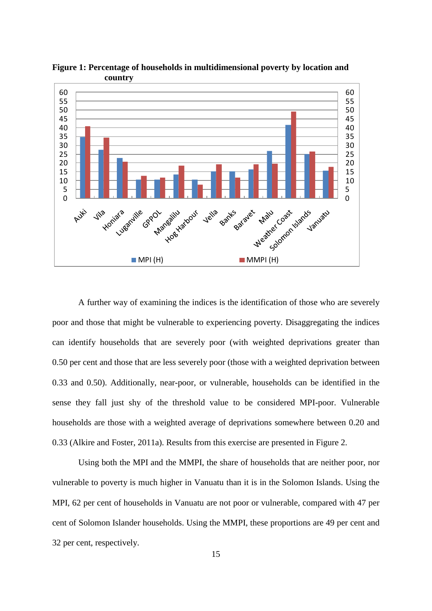

**Figure 1: Percentage of households in multidimensional poverty by location and country**

A further way of examining the indices is the identification of those who are severely poor and those that might be vulnerable to experiencing poverty. Disaggregating the indices can identify households that are severely poor (with weighted deprivations greater than 0.50 per cent and those that are less severely poor (those with a weighted deprivation between 0.33 and 0.50). Additionally, near-poor, or vulnerable, households can be identified in the sense they fall just shy of the threshold value to be considered MPI-poor. Vulnerable households are those with a weighted average of deprivations somewhere between 0.20 and 0.33 (Alkire and Foster, 2011a). Results from this exercise are presented in Figure 2.

Using both the MPI and the MMPI, the share of households that are neither poor, nor vulnerable to poverty is much higher in Vanuatu than it is in the Solomon Islands. Using the MPI, 62 per cent of households in Vanuatu are not poor or vulnerable, compared with 47 per cent of Solomon Islander households. Using the MMPI, these proportions are 49 per cent and 32 per cent, respectively.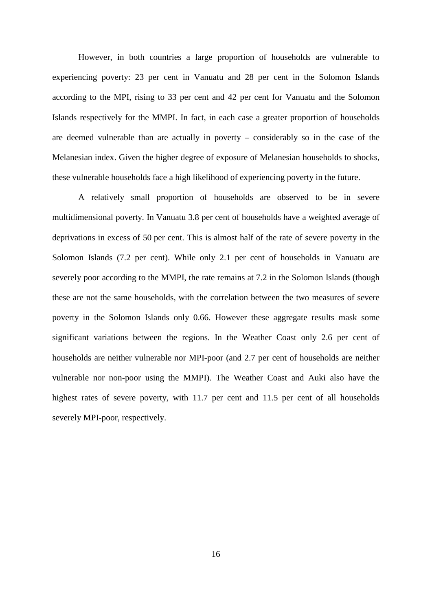However, in both countries a large proportion of households are vulnerable to experiencing poverty: 23 per cent in Vanuatu and 28 per cent in the Solomon Islands according to the MPI, rising to 33 per cent and 42 per cent for Vanuatu and the Solomon Islands respectively for the MMPI. In fact, in each case a greater proportion of households are deemed vulnerable than are actually in poverty – considerably so in the case of the Melanesian index. Given the higher degree of exposure of Melanesian households to shocks, these vulnerable households face a high likelihood of experiencing poverty in the future.

A relatively small proportion of households are observed to be in severe multidimensional poverty. In Vanuatu 3.8 per cent of households have a weighted average of deprivations in excess of 50 per cent. This is almost half of the rate of severe poverty in the Solomon Islands (7.2 per cent). While only 2.1 per cent of households in Vanuatu are severely poor according to the MMPI, the rate remains at 7.2 in the Solomon Islands (though these are not the same households, with the correlation between the two measures of severe poverty in the Solomon Islands only 0.66. However these aggregate results mask some significant variations between the regions. In the Weather Coast only 2.6 per cent of households are neither vulnerable nor MPI-poor (and 2.7 per cent of households are neither vulnerable nor non-poor using the MMPI). The Weather Coast and Auki also have the highest rates of severe poverty, with 11.7 per cent and 11.5 per cent of all households severely MPI-poor, respectively.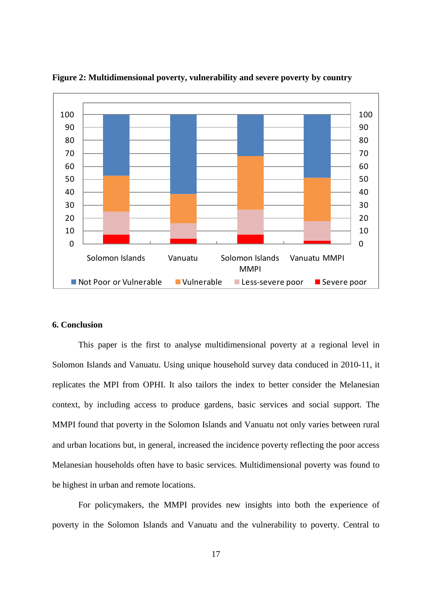

**Figure 2: Multidimensional poverty, vulnerability and severe poverty by country**

# **6. Conclusion**

This paper is the first to analyse multidimensional poverty at a regional level in Solomon Islands and Vanuatu. Using unique household survey data conduced in 2010-11, it replicates the MPI from OPHI. It also tailors the index to better consider the Melanesian context, by including access to produce gardens, basic services and social support. The MMPI found that poverty in the Solomon Islands and Vanuatu not only varies between rural and urban locations but, in general, increased the incidence poverty reflecting the poor access Melanesian households often have to basic services. Multidimensional poverty was found to be highest in urban and remote locations.

For policymakers, the MMPI provides new insights into both the experience of poverty in the Solomon Islands and Vanuatu and the vulnerability to poverty. Central to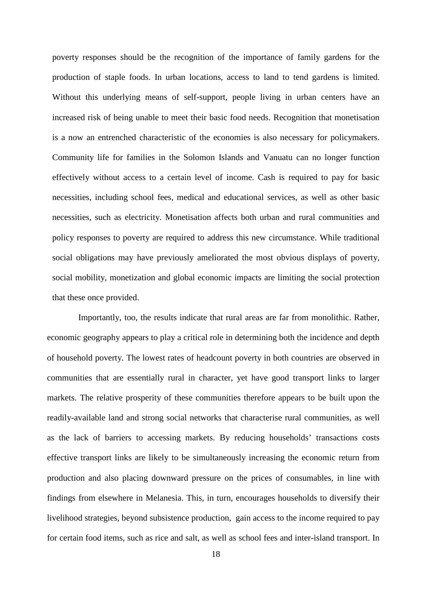poverty responses should be the recognition of the importance of family gardens for the production of staple foods. In urban locations, access to land to tend gardens is limited. Without this underlying means of self-support, people living in urban centers have an increased risk of being unable to meet their basic food needs. Recognition that monetisation is a now an entrenched characteristic of the economies is also necessary for policymakers. Community life for families in the Solomon Islands and Vanuatu can no longer function effectively without access to a certain level of income. Cash is required to pay for basic necessities, including school fees, medical and educational services, as well as other basic necessities, such as electricity. Monetisation affects both urban and rural communities and policy responses to poverty are required to address this new circumstance. While traditional social obligations may have previously ameliorated the most obvious displays of poverty, social mobility, monetization and global economic impacts are limiting the social protection that these once provided.

Importantly, too, the results indicate that rural areas are far from monolithic. Rather, economic geography appears to play a critical role in determining both the incidence and depth of household poverty. The lowest rates of headcount poverty in both countries are observed in communities that are essentially rural in character, yet have good transport links to larger markets. The relative prosperity of these communities therefore appears to be built upon the readily-available land and strong social networks that characterise rural communities, as well as the lack of barriers to accessing markets. By reducing households' transactions costs effective transport links are likely to be simultaneously increasing the economic return from production and also placing downward pressure on the prices of consumables, in line with findings from elsewhere in Melanesia. This, in turn, encourages households to diversify their livelihood strategies, beyond subsistence production, gain access to the income required to pay for certain food items, such as rice and salt, as well as school fees and inter-island transport. In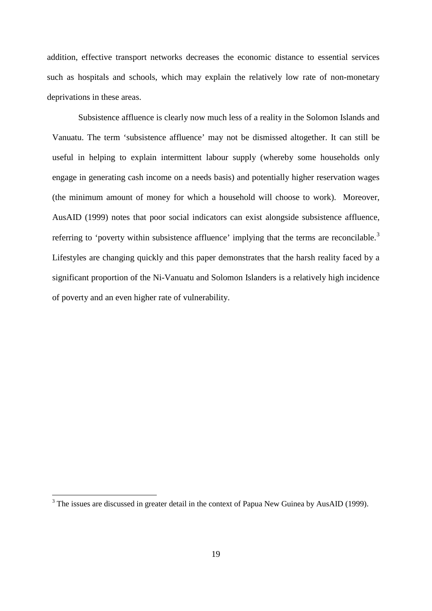addition, effective transport networks decreases the economic distance to essential services such as hospitals and schools, which may explain the relatively low rate of non-monetary deprivations in these areas.

Subsistence affluence is clearly now much less of a reality in the Solomon Islands and Vanuatu. The term 'subsistence affluence' may not be dismissed altogether. It can still be useful in helping to explain intermittent labour supply (whereby some households only engage in generating cash income on a needs basis) and potentially higher reservation wages (the minimum amount of money for which a household will choose to work). Moreover, AusAID (1999) notes that poor social indicators can exist alongside subsistence affluence, referring to 'poverty within subsistence affluence' implying that the terms are reconcilable.<sup>[3](#page-18-0)</sup> Lifestyles are changing quickly and this paper demonstrates that the harsh reality faced by a significant proportion of the Ni-Vanuatu and Solomon Islanders is a relatively high incidence of poverty and an even higher rate of vulnerability.

**.** 

<span id="page-18-0"></span><sup>&</sup>lt;sup>3</sup> The issues are discussed in greater detail in the context of Papua New Guinea by AusAID (1999).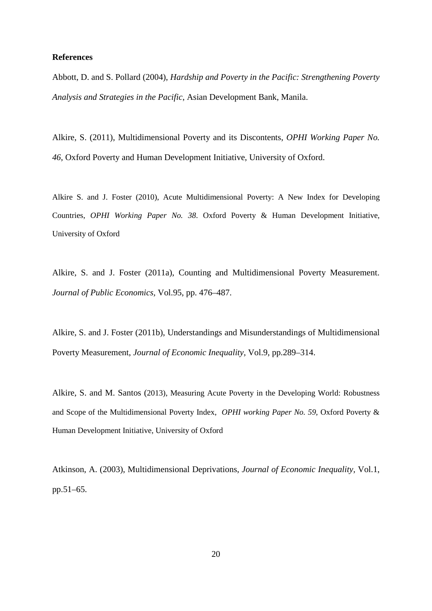#### **References**

Abbott, D. and S. Pollard (2004), *Hardship and Poverty in the Pacific: Strengthening Poverty Analysis and Strategies in the Pacific*, Asian Development Bank, Manila.

Alkire, S. (2011), Multidimensional Poverty and its Discontents, *OPHI Working Paper No. 46*, Oxford Poverty and Human Development Initiative, University of Oxford.

Alkire S. and J. Foster (2010), Acute Multidimensional Poverty: A New Index for Developing Countries, *OPHI Working Paper No. 38*. Oxford Poverty & Human Development Initiative, University of Oxford

Alkire, S. and J. Foster (2011a), Counting and Multidimensional Poverty Measurement. *Journal of Public Economics,* Vol.95, pp. 476–487.

Alkire, S. and J. Foster (2011b), Understandings and Misunderstandings of Multidimensional Poverty Measurement, *Journal of Economic Inequality,* Vol.9, pp.289–314.

Alkire, S. and M. Santos (2013), Measuring Acute Poverty in the Developing World: Robustness and Scope of the Multidimensional Poverty Index, *OPHI working Paper No. 59,* Oxford Poverty & Human Development Initiative, University of Oxford

Atkinson, A. (2003), Multidimensional Deprivations, *Journal of Economic Inequality,* Vol.1, pp.51–65.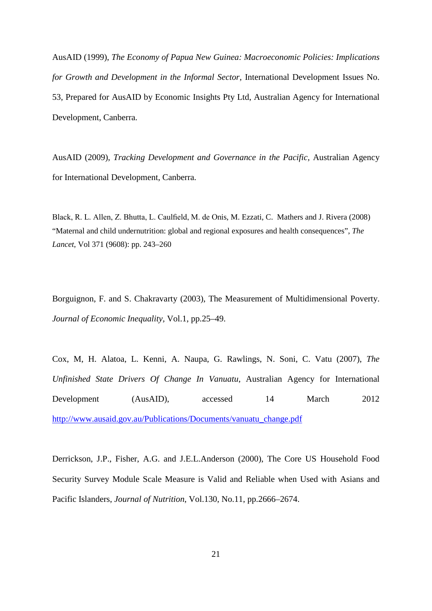AusAID (1999), *The Economy of Papua New Guinea: Macroeconomic Policies: Implications for Growth and Development in the Informal Sector*, International Development Issues No. 53, Prepared for AusAID by Economic Insights Pty Ltd, Australian Agency for International Development, Canberra.

AusAID (2009), *Tracking Development and Governance in the Pacific,* Australian Agency for International Development, Canberra.

Black, R. L. Allen, Z. Bhutta, L. Caulfield, M. de Onis, M. Ezzati, C. Mathers and J. Rivera (2008) "Maternal and child undernutrition: global and regional exposures and health consequences", *The Lancet*, Vol 371 (9608): pp. 243–260

Borguignon, F. and S. Chakravarty (2003), The Measurement of Multidimensional Poverty. *Journal of Economic Inequality,* Vol.1, pp.25–49.

Cox, M, H. Alatoa, L. Kenni, A. Naupa, G. Rawlings, N. Soni, C. Vatu (2007), *The Unfinished State Drivers Of Change In Vanuatu*, Australian Agency for International Development (AusAID), accessed 14 March 2012 [http://www.ausaid.gov.au/Publications/Documents/vanuatu\\_change.pdf](http://www.ausaid.gov.au/Publications/Documents/vanuatu_change.pdf) 

Derrickson, J.P., Fisher, A.G. and J.E.L.Anderson (2000), The Core US Household Food Security Survey Module Scale Measure is Valid and Reliable when Used with Asians and Pacific Islanders, *Journal of Nutrition*, Vol.130, No.11, pp.2666–2674.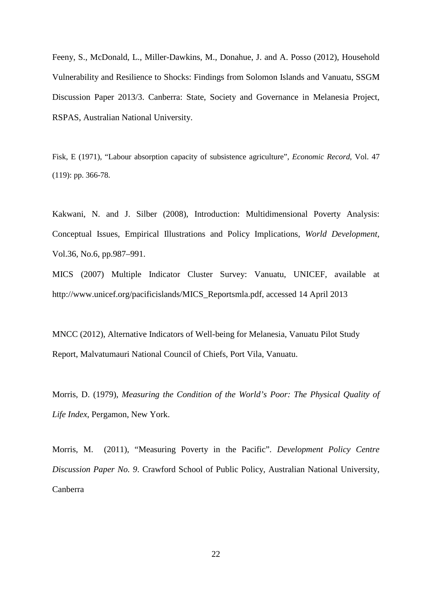Feeny, S., McDonald, L., Miller-Dawkins, M., Donahue, J. and A. Posso (2012), Household Vulnerability and Resilience to Shocks: Findings from Solomon Islands and Vanuatu, SSGM Discussion Paper 2013/3. Canberra: State, Society and Governance in Melanesia Project, RSPAS, Australian National University.

Fisk, E (1971), "Labour absorption capacity of subsistence agriculture", *Economic Record*, Vol. 47 (119): pp. 366-78.

Kakwani, N. and J. Silber (2008), Introduction: Multidimensional Poverty Analysis: Conceptual Issues, Empirical Illustrations and Policy Implications, *World Development,*  Vol.36, No.6, pp.987–991.

MICS (2007) Multiple Indicator Cluster Survey: Vanuatu, UNICEF, available at http://www.unicef.org/pacificislands/MICS\_Reportsmla.pdf, accessed 14 April 2013

MNCC (2012), Alternative Indicators of Well-being for Melanesia, Vanuatu Pilot Study Report, Malvatumauri National Council of Chiefs, Port Vila, Vanuatu.

Morris, D. (1979), *Measuring the Condition of the World's Poor: The Physical Quality of Life Index*, Pergamon, New York.

Morris, M. (2011), "Measuring Poverty in the Pacific". *Development Policy Centre Discussion Paper No. 9*. Crawford School of Public Policy, Australian National University, Canberra